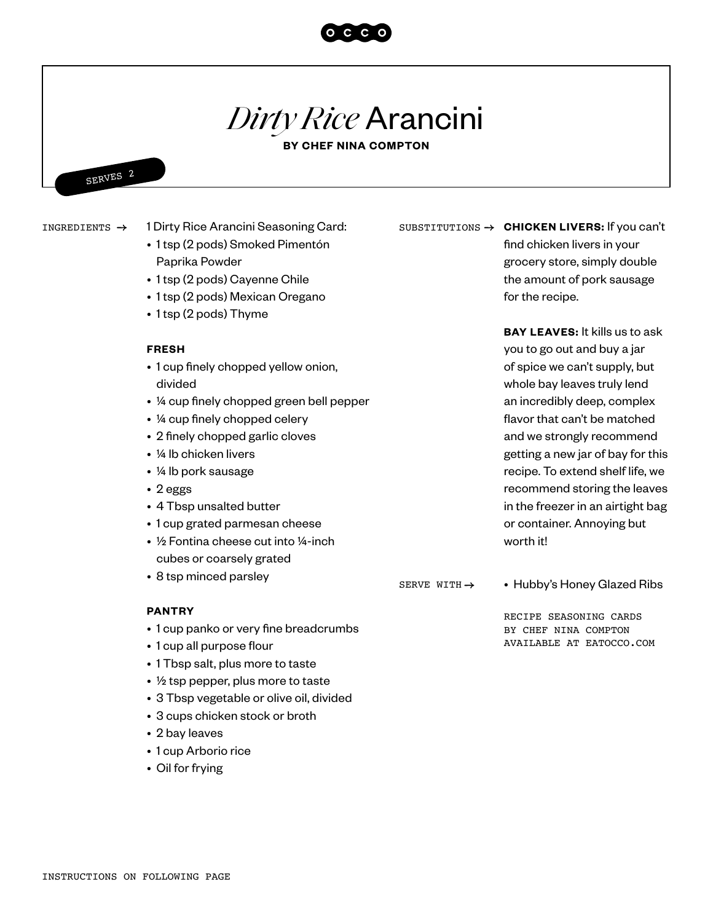

# *Dirty Rice* Arancini

**BY CHEF NINA COMPTON**



INGREDIENTS  $\rightarrow$ 

### 1 Dirty Rice Arancini Seasoning Card:

- 1 tsp (2 pods) Smoked Pimentón Paprika Powder
- 1 tsp (2 pods) Cayenne Chile
- 1 tsp (2 pods) Mexican Oregano
- 1 tsp (2 pods) Thyme

#### **FRESH**

- 1 cup finely chopped yellow onion, divided
- ¼ cup finely chopped green bell pepper
- ¼ cup finely chopped celery
- 2 finely chopped garlic cloves
- ¼ lb chicken livers
- ¼ lb pork sausage
- 2 eggs
- 4 Tbsp unsalted butter
- 1 cup grated parmesan cheese
- 1/2 Fontina cheese cut into 1/4-inch cubes or coarsely grated
- 8 tsp minced parsley

SERVE WITH  $\rightarrow$ 

• Hubby's Honey Glazed Ribs

RECIPE SEASONING CARDS BY CHEF NINA COMPTON AVAILABLE AT EATOCCO.COM

#### **PANTRY**

- 1 cup panko or very fine breadcrumbs
- 1 cup all purpose flour
- 1 Tbsp salt, plus more to taste
- $\frac{1}{2}$  tsp pepper, plus more to taste
- 3 Tbsp vegetable or olive oil, divided
- 3 cups chicken stock or broth
- 2 bay leaves
- 1 cup Arborio rice
- Oil for frying

SUBSTITUTIONS  $\rightarrow$  **CHICKEN LIVERS:** If you can't find chicken livers in your grocery store, simply double the amount of pork sausage for the recipe.

> **BAY LEAVES:** It kills us to ask you to go out and buy a jar of spice we can't supply, but whole bay leaves truly lend an incredibly deep, complex flavor that can't be matched and we strongly recommend getting a new jar of bay for this recipe. To extend shelf life, we recommend storing the leaves in the freezer in an airtight bag or container. Annoying but worth it!